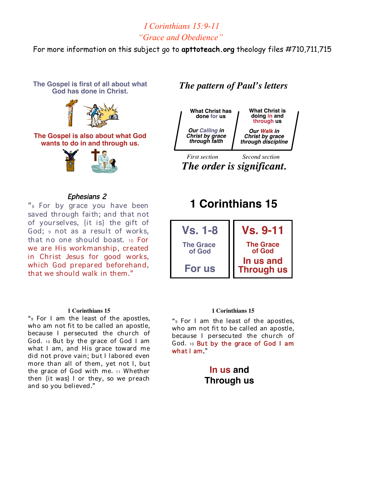## *I Corinthians 15:9-11 "Grace and Obedience"*

For more information on this subject go to **apttoteach.org** theology files #710,711,715

**The Gospel is first of all about what God has done in Christ.**



#### **The Gospel is also about what God wants to do in and through us.**



### Ephesians 2

"8 For by grace you have been saved through faith; and that not of yourselves, {it is} the gift of God; <sup>9</sup> not as a result of works, that no one should boast. <sup>10</sup> For we are His workmanship, created in Christ Jesus for good works, which God prepared beforehand, that we should walk in them."

#### **1 Corinthians 15**

"9 For I am the least of the apostles, who am not fit to be called an apostle, because I persecuted the church of God. 10 But by the grace of God I am what I am, and His grace toward me did not prove vain; but I labored even more than all of them, yet not I, but the grace of God with me. <sup>11</sup> Whether then {it was} I or they, so we preach and so you believed."

## *The pattern of Paul's letters*



*The order is significant. The order is significant.*

# **1 Corinthians 15**



#### **1 Corinthians 15**

"9 For I am the least of the apostles, who am not fit to be called an apostle, because I persecuted the church of God. 10 But by the grace of God I am what I am,"

## **In us and Through us**